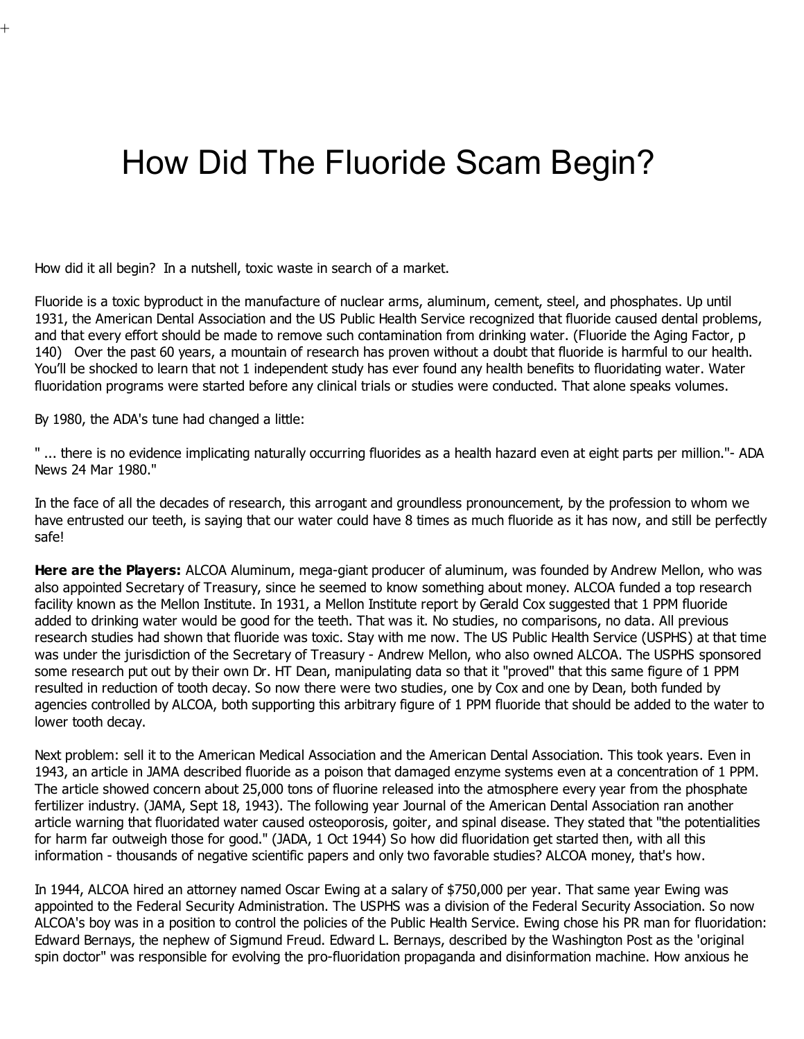# How Did The Fluoride Scam Begin?

How did it all begin? In a nutshell, toxic waste in search of a market.

Fluoride is a toxic byproduct in the manufacture of nuclear arms, aluminum, cement, steel, and phosphates. Up until 1931, the American Dental Association and the US Public Health Service recognized that fluoride caused dental problems, and that every effort should be made to remove such contamination from drinking water. (Fluoride the Aging Factor, p 140) Over the past 60 years, a mountain of research has proven without a doubt that fluoride is harmful to our health. You'll be shocked to learn that not 1 independent study has ever found any health benefits to fluoridating water. Water fluoridation programs were started before any clinical trials or studies were conducted. That alone speaks volumes.

By 1980, the ADA's tune had changed a little:

 $^{+}$ 

" ... there is no evidence implicating naturally occurring fluorides as a health hazard even at eight parts per million."- ADA News 24 Mar 1980."

In the face of all the decades of research, this arrogant and groundless pronouncement, by the profession to whom we have entrusted our teeth, is saying that our water could have 8 times as much fluoride as it has now, and still be perfectly safe!

Here are the Players: ALCOA Aluminum, mega-giant producer of aluminum, was founded by Andrew Mellon, who was also appointed Secretary of Treasury, since he seemed to know something about money. ALCOA funded a top research facility known as the Mellon Institute. In 1931, a Mellon Institute report by Gerald Cox suggested that 1 PPM fluoride added to drinking water would be good for the teeth. That was it. No studies, no comparisons, no data. All previous research studies had shown that fluoride was toxic. Stay with me now. The US Public Health Service (USPHS) at that time was under the jurisdiction of the Secretary of Treasury - Andrew Mellon, who also owned ALCOA. The USPHS sponsored some research put out by their own Dr. HT Dean, manipulating data so that it "proved" that this same figure of 1 PPM resulted in reduction of tooth decay. So now there were two studies, one by Cox and one by Dean, both funded by agencies controlled by ALCOA, both supporting this arbitrary figure of 1 PPM fluoride that should be added to the water to lower tooth decay.

Next problem: sell it to the American Medical Association and the American Dental Association. This took years. Even in 1943, an article in JAMA described fluoride as a poison that damaged enzyme systems even at a concentration of 1 PPM. The article showed concern about 25,000 tons of fluorine released into the atmosphere every year from the phosphate fertilizer industry. (JAMA, Sept 18, 1943). The following year Journal of the American Dental Association ran another article warning that fluoridated water caused osteoporosis, goiter, and spinal disease. They stated that "the potentialities for harm far outweigh those for good." (JADA, 1 Oct 1944) So how did fluoridation get started then, with all this information - thousands of negative scientific papers and only two favorable studies? ALCOA money, that's how.

In 1944, ALCOA hired an attorney named Oscar Ewing at a salary of \$750,000 per year. That same year Ewing was appointed to the Federal Security Administration. The USPHS was a division of the Federal Security Association. So now ALCOA's boy was in a position to control the policies of the Public Health Service. Ewing chose his PR man for fluoridation: Edward Bernays, the nephew of Sigmund Freud. Edward L. Bernays, described by the Washington Post as the 'original spin doctor" was responsible for evolving the pro-fluoridation propaganda and disinformation machine. How anxious he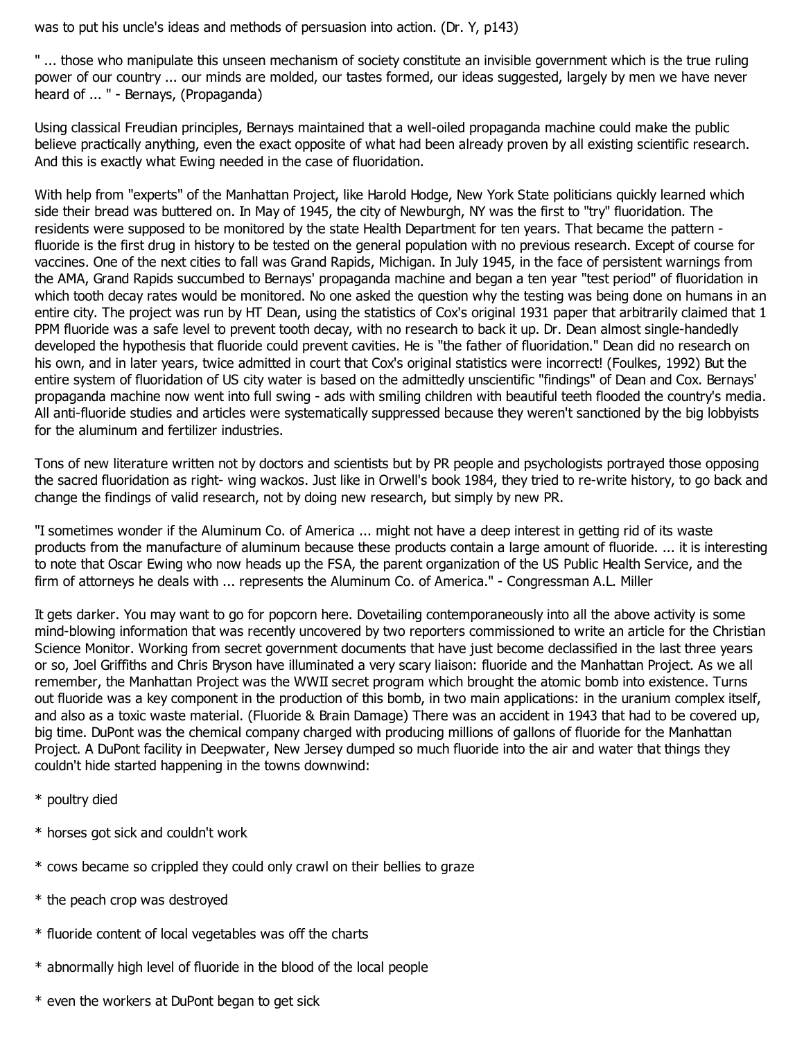was to put his uncle's ideas and methods of persuasion into action. (Dr. Y, p143)

" ... those who manipulate this unseen mechanism of society constitute an invisible government which is the true ruling power of our country ... our minds are molded, our tastes formed, our ideas suggested, largely by men we have never heard of ... " - Bernays, (Propaganda)

Using classical Freudian principles, Bernays maintained that a well-oiled propaganda machine could make the public believe practically anything, even the exact opposite of what had been already proven by all existing scientific research. And this is exactly what Ewing needed in the case of fluoridation.

With help from "experts" of the Manhattan Project, like Harold Hodge, New York State politicians quickly learned which side their bread was buttered on. In May of 1945, the city of Newburgh, NY was the first to "try" fluoridation. The residents were supposed to be monitored by the state Health Department for ten years. That became the pattern fluoride is the first drug in history to be tested on the general population with no previous research. Except of course for vaccines. One of the next cities to fall was Grand Rapids, Michigan. In July 1945, in the face of persistent warnings from the AMA, Grand Rapids succumbed to Bernays' propaganda machine and began a ten year "test period" of fluoridation in which tooth decay rates would be monitored. No one asked the question why the testing was being done on humans in an entire city. The project was run by HT Dean, using the statistics of Cox's original 1931 paper that arbitrarily claimed that 1 PPM fluoride was a safe level to prevent tooth decay, with no research to back it up. Dr. Dean almost single-handedly developed the hypothesis that fluoride could prevent cavities. He is "the father of fluoridation." Dean did no research on his own, and in later years, twice admitted in court that Cox's original statistics were incorrect! (Foulkes, 1992) But the entire system of fluoridation of US city water is based on the admittedly unscientific "findings" of Dean and Cox. Bernays' propaganda machine now went into full swing - ads with smiling children with beautiful teeth flooded the country's media. All anti-fluoride studies and articles were systematically suppressed because they weren't sanctioned by the big lobbyists for the aluminum and fertilizer industries.

Tons of new literature written not by doctors and scientists but by PR people and psychologists portrayed those opposing the sacred fluoridation as right- wing wackos. Just like in Orwell's book 1984, they tried to re-write history, to go back and change the findings of valid research, not by doing new research, but simply by new PR.

"I sometimes wonder if the Aluminum Co. of America ... might not have a deep interest in getting rid of its waste products from the manufacture of aluminum because these products contain a large amount of fluoride. ... it is interesting to note that Oscar Ewing who now heads up the FSA, the parent organization of the US Public Health Service, and the firm of attorneys he deals with ... represents the Aluminum Co. of America." - Congressman A.L. Miller

It gets darker. You may want to go for popcorn here. Dovetailing contemporaneously into all the above activity is some mind-blowing information that was recently uncovered by two reporters commissioned to write an article for the Christian Science Monitor. Working from secret government documents that have just become declassified in the last three years or so, Joel Griffiths and Chris Bryson have illuminated a very scary liaison: fluoride and the Manhattan Project. As we all remember, the Manhattan Project was the WWII secret program which brought the atomic bomb into existence. Turns out fluoride was a key component in the production of this bomb, in two main applications: in the uranium complex itself, and also as a toxic waste material. (Fluoride & Brain Damage) There was an accident in 1943 that had to be covered up, big time. DuPont was the chemical company charged with producing millions of gallons of fluoride for the Manhattan Project. A DuPont facility in Deepwater, New Jersey dumped so much fluoride into the air and water that things they couldn't hide started happening in the towns downwind:

- \* poultry died
- \* horses got sick and couldn't work
- \* cows became so crippled they could only crawl on their bellies to graze
- \* the peach crop was destroyed
- \* fluoride content of local vegetables was off the charts
- \* abnormally high level of fluoride in the blood of the local people
- \* even the workers at DuPont began to get sick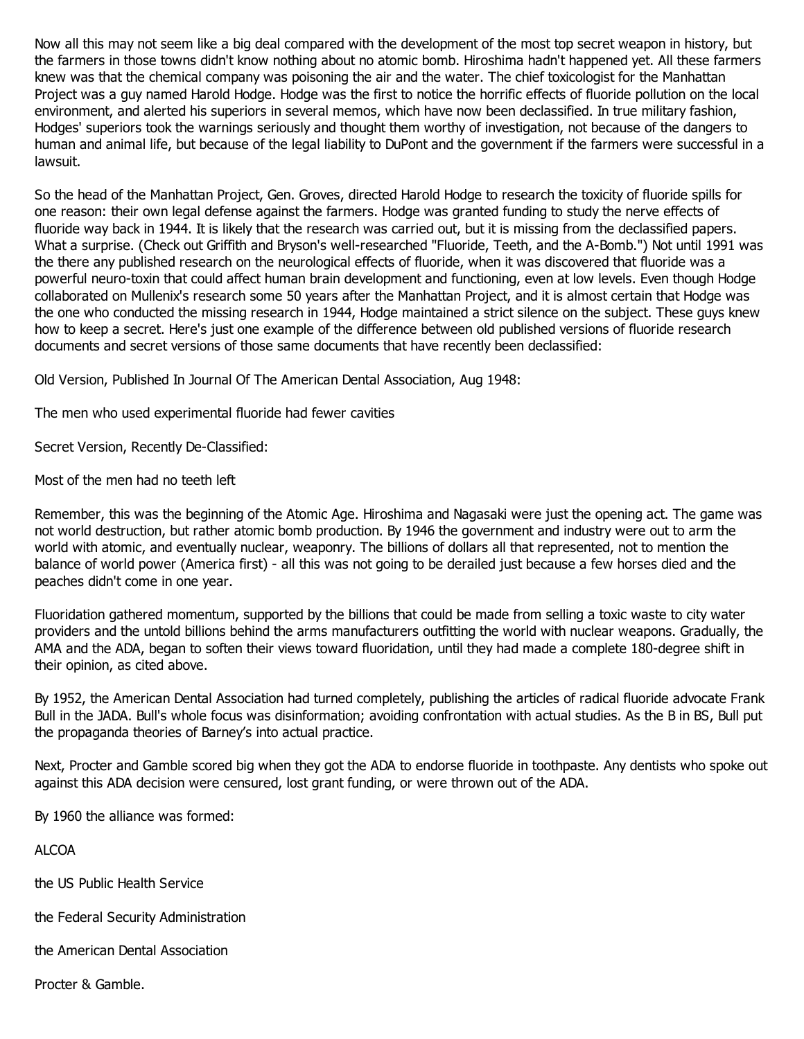Now all this may not seem like a big deal compared with the development of the most top secret weapon in history, but the farmers in those towns didn't know nothing about no atomic bomb. Hiroshima hadn't happened yet. All these farmers knew was that the chemical company was poisoning the air and the water. The chief toxicologist for the Manhattan Project was a guy named Harold Hodge. Hodge was the first to notice the horrific effects of fluoride pollution on the local environment, and alerted his superiors in several memos, which have now been declassified. In true military fashion, Hodges' superiors took the warnings seriously and thought them worthy of investigation, not because of the dangers to human and animal life, but because of the legal liability to DuPont and the government if the farmers were successful in a lawsuit.

So the head of the Manhattan Project, Gen. Groves, directed Harold Hodge to research the toxicity of fluoride spills for one reason: their own legal defense against the farmers. Hodge was granted funding to study the nerve effects of fluoride way back in 1944. It is likely that the research was carried out, but it is missing from the declassified papers. What a surprise. (Check out Griffith and Bryson's well-researched "Fluoride, Teeth, and the A-Bomb.") Not until 1991 was the there any published research on the neurological effects of fluoride, when it was discovered that fluoride was a powerful neuro-toxin that could affect human brain development and functioning, even at low levels. Even though Hodge collaborated on Mullenix's research some 50 years after the Manhattan Project, and it is almost certain that Hodge was the one who conducted the missing research in 1944, Hodge maintained a strict silence on the subject. These guys knew how to keep a secret. Here's just one example of the difference between old published versions of fluoride research documents and secret versions of those same documents that have recently been declassified:

Old Version, Published In Journal Of The American Dental Association, Aug 1948:

The men who used experimental fluoride had fewer cavities

Secret Version, Recently De-Classified:

Most of the men had no teeth left

Remember, this was the beginning of the Atomic Age. Hiroshima and Nagasaki were just the opening act. The game was not world destruction, but rather atomic bomb production. By 1946 the government and industry were out to arm the world with atomic, and eventually nuclear, weaponry. The billions of dollars all that represented, not to mention the balance of world power (America first) - all this was not going to be derailed just because a few horses died and the peaches didn't come in one year.

Fluoridation gathered momentum, supported by the billions that could be made from selling a toxic waste to city water providers and the untold billions behind the arms manufacturers outfitting the world with nuclear weapons. Gradually, the AMA and the ADA, began to soften their views toward fluoridation, until they had made a complete 180-degree shift in their opinion, as cited above.

By 1952, the American Dental Association had turned completely, publishing the articles of radical fluoride advocate Frank Bull in the JADA. Bull's whole focus was disinformation; avoiding confrontation with actual studies. As the B in BS, Bull put the propaganda theories of Barney's into actual practice.

Next, Procter and Gamble scored big when they got the ADA to endorse fluoride in toothpaste. Any dentists who spoke out against this ADA decision were censured, lost grant funding, or were thrown out of the ADA.

By 1960 the alliance was formed:

ALCOA

the US Public Health Service

the Federal Security Administration

the American Dental Association

Procter & Gamble.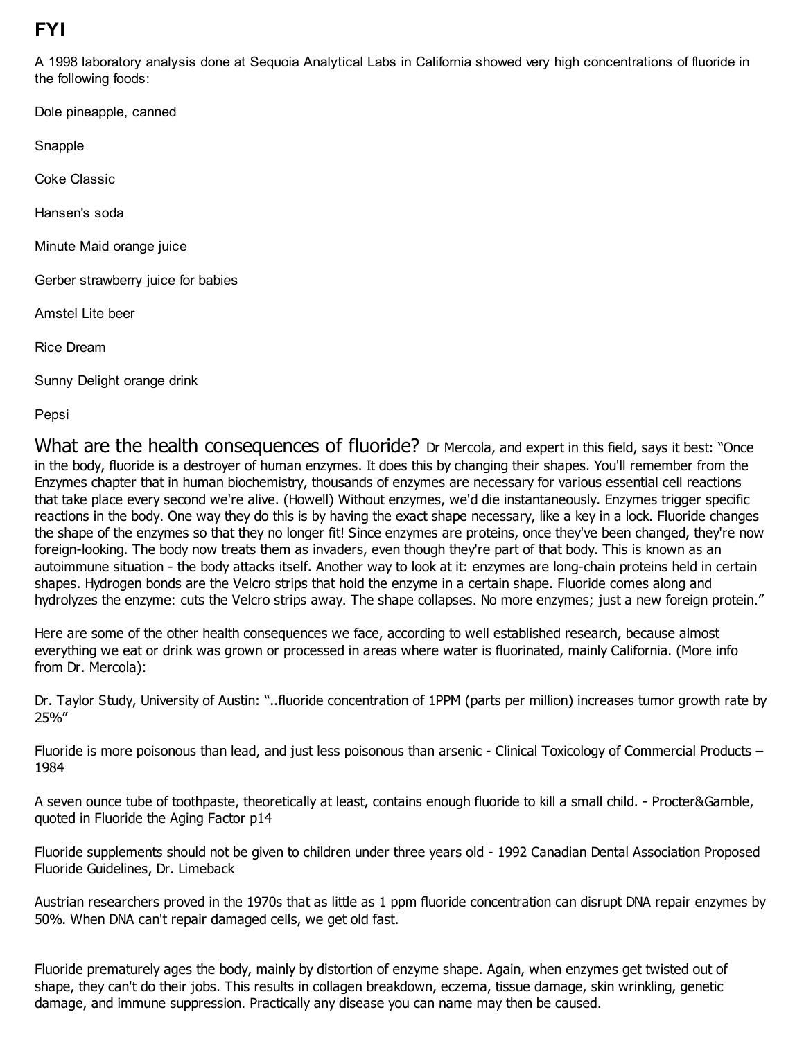## **FYI**

A 1998 laboratory analysis done at Sequoia Analytical Labs in California showed very high concentrations of fluoride in the following foods:

Dole pineapple, canned

Snapple

Coke Classic

Hansen's soda

Minute Maid orange juice

Gerber strawberry juice for babies

Amstel Lite beer

Rice Dream

Sunny Delight orange drink

Pepsi

What are the health consequences of fluoride? Dr Mercola, and expert in this field, says it best: "Once in the body, fluoride is a destroyer of human enzymes. It does this by changing their shapes. You'll remember from the Enzymes chapter that in human biochemistry, thousands of enzymes are necessary for various essential cell reactions that take place every second we're alive. (Howell) Without enzymes, we'd die instantaneously. Enzymes trigger specific reactions in the body. One way they do this is by having the exact shape necessary, like a key in a lock. Fluoride changes the shape of the enzymes so that they no longer fit! Since enzymes are proteins, once they've been changed, they're now foreign-looking. The body now treats them as invaders, even though they're part of that body. This is known as an autoimmune situation - the body attacks itself. Another way to look at it: enzymes are long-chain proteins held in certain shapes. Hydrogen bonds are the Velcro strips that hold the enzyme in a certain shape. Fluoride comes along and hydrolyzes the enzyme: cuts the Velcro strips away. The shape collapses. No more enzymes; just a new foreign protein."

Here are some of the other health consequences we face, according to well established research, because almost everything we eat or drink was grown or processed in areas where water is fluorinated, mainly California. (More info from Dr. Mercola):

Dr. Taylor Study, University of Austin: "..fluoride concentration of 1PPM (parts per million) increases tumor growth rate by 25%"

Fluoride is more poisonous than lead, and just less poisonous than arsenic - Clinical Toxicology of Commercial Products – 1984

A seven ounce tube of toothpaste, theoretically at least, contains enough fluoride to kill a small child. - Procter&Gamble, quoted in Fluoride the Aging Factor p14

Fluoride supplements should not be given to children under three years old - 1992 Canadian Dental Association Proposed Fluoride Guidelines, Dr. Limeback

Austrian researchers proved in the 1970s that as little as 1 ppm fluoride concentration can disrupt DNA repair enzymes by 50%. When DNA can't repair damaged cells, we get old fast.

Fluoride prematurely ages the body, mainly by distortion of enzyme shape. Again, when enzymes get twisted out of shape, they can't do their jobs. This results in collagen breakdown, eczema, tissue damage, skin wrinkling, genetic damage, and immune suppression. Practically any disease you can name may then be caused.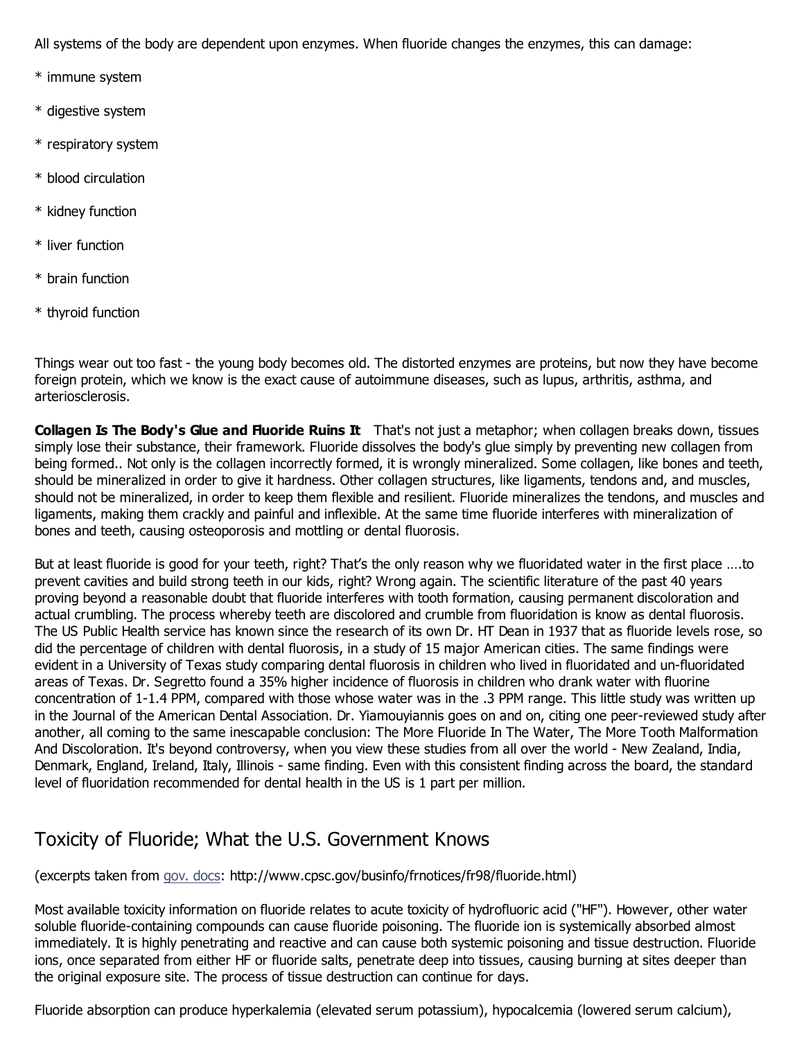All systems of the body are dependent upon enzymes. When fluoride changes the enzymes, this can damage:

- \* immune system
- \* digestive system
- \* respiratory system
- \* blood circulation
- \* kidney function
- \* liver function
- \* brain function
- \* thyroid function

Things wear out too fast - the young body becomes old. The distorted enzymes are proteins, but now they have become foreign protein, which we know is the exact cause of autoimmune diseases, such as lupus, arthritis, asthma, and arteriosclerosis.

Collagen Is The Body's Glue and Fluoride Ruins It That's not just a metaphor; when collagen breaks down, tissues simply lose their substance, their framework. Fluoride dissolves the body's glue simply by preventing new collagen from being formed.. Not only is the collagen incorrectly formed, it is wrongly mineralized. Some collagen, like bones and teeth, should be mineralized in order to give it hardness. Other collagen structures, like ligaments, tendons and, and muscles, should not be mineralized, in order to keep them flexible and resilient. Fluoride mineralizes the tendons, and muscles and ligaments, making them crackly and painful and inflexible. At the same time fluoride interferes with mineralization of bones and teeth, causing osteoporosis and mottling or dental fluorosis.

But at least fluoride is good for your teeth, right? That's the only reason why we fluoridated water in the first place ....to prevent cavities and build strong teeth in our kids, right? Wrong again. The scientific literature of the past 40 years proving beyond a reasonable doubt that fluoride interferes with tooth formation, causing permanent discoloration and actual crumbling. The process whereby teeth are discolored and crumble from fluoridation is know as dental fluorosis. The US Public Health service has known since the research of its own Dr. HT Dean in 1937 that as fluoride levels rose, so did the percentage of children with dental fluorosis, in a study of 15 major American cities. The same findings were evident in a University of Texas study comparing dental fluorosis in children who lived in fluoridated and un-fluoridated areas of Texas. Dr. Segretto found a 35% higher incidence of fluorosis in children who drank water with fluorine concentration of 1-1.4 PPM, compared with those whose water was in the .3 PPM range. This little study was written up in the Journal of the American Dental Association. Dr. Yiamouyiannis goes on and on, citing one peer-reviewed study after another, all coming to the same inescapable conclusion: The More Fluoride In The Water, The More Tooth Malformation And Discoloration. It's beyond controversy, when you view these studies from all over the world - New Zealand, India, Denmark, England, Ireland, Italy, Illinois - same finding. Even with this consistent finding across the board, the standard level of fluoridation recommended for dental health in the US is 1 part per million.

### Toxicity of Fluoride; What the U.S. Government Knows

#### (excerpts taken from gov. docs: http://www.cpsc.gov/businfo/frnotices/fr98/fluoride.html)

Most available toxicity information on fluoride relates to acute toxicity of hydrofluoric acid ("HF"). However, other water soluble fluoride-containing compounds can cause fluoride poisoning. The fluoride ion is systemically absorbed almost immediately. It is highly penetrating and reactive and can cause both systemic poisoning and tissue destruction. Fluoride ions, once separated from either HF or fluoride salts, penetrate deep into tissues, causing burning at sites deeper than the original exposure site. The process of tissue destruction can continue for days.

Fluoride absorption can produce hyperkalemia (elevated serum potassium), hypocalcemia (lowered serum calcium),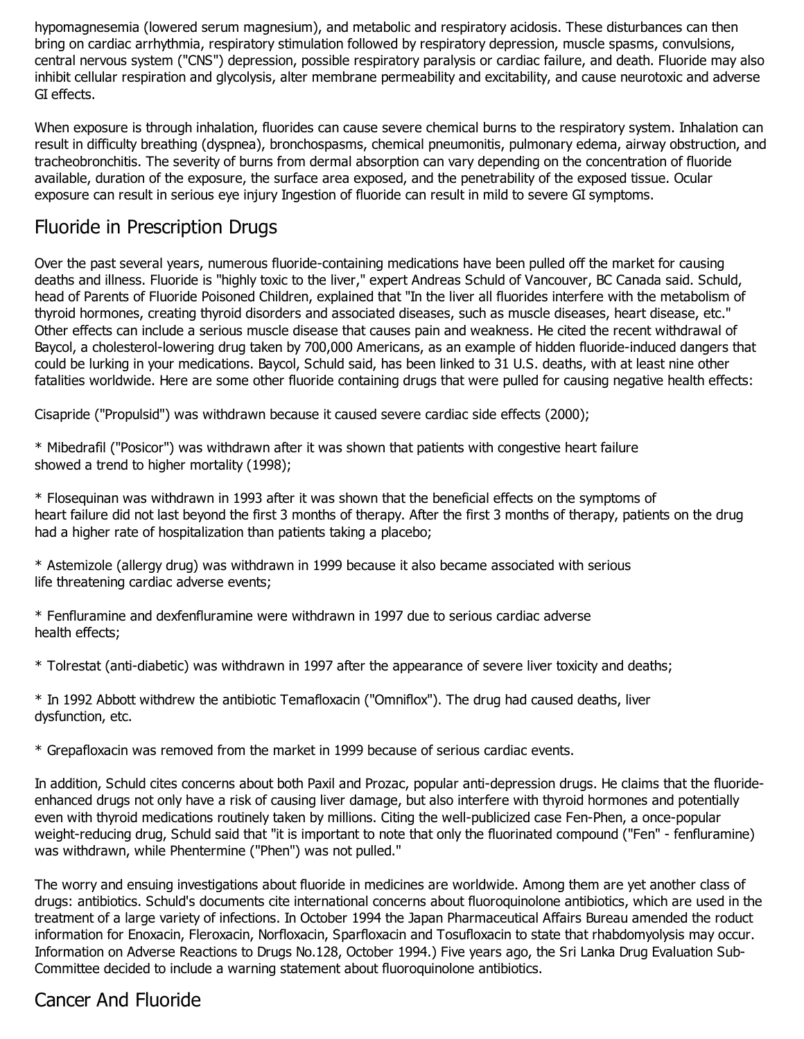hypomagnesemia (lowered serum magnesium), and metabolic and respiratory acidosis. These disturbances can then bring on cardiac arrhythmia, respiratory stimulation followed by respiratory depression, muscle spasms, convulsions, central nervous system ("CNS") depression, possible respiratory paralysis or cardiac failure, and death. Fluoride may also inhibit cellular respiration and glycolysis, alter membrane permeability and excitability, and cause neurotoxic and adverse GI effects.

When exposure is through inhalation, fluorides can cause severe chemical burns to the respiratory system. Inhalation can result in difficulty breathing (dyspnea), bronchospasms, chemical pneumonitis, pulmonary edema, airway obstruction, and tracheobronchitis. The severity of burns from dermal absorption can vary depending on the concentration of fluoride available, duration of the exposure, the surface area exposed, and the penetrability of the exposed tissue. Ocular exposure can result in serious eye injury Ingestion of fluoride can result in mild to severe GI symptoms.

#### Fluoride in Prescription Drugs

Over the past several years, numerous fluoride-containing medications have been pulled off the market for causing deaths and illness. Fluoride is "highly toxic to the liver," expert Andreas Schuld of Vancouver, BC Canada said. Schuld, head of Parents of Fluoride Poisoned Children, explained that "In the liver all fluorides interfere with the metabolism of thyroid hormones, creating thyroid disorders and associated diseases, such as muscle diseases, heart disease, etc." Other effects can include a serious muscle disease that causes pain and weakness. He cited the recent withdrawal of Baycol, a cholesterol-lowering drug taken by 700,000 Americans, as an example of hidden fluoride-induced dangers that could be lurking in your medications. Baycol, Schuld said, has been linked to 31 U.S. deaths, with at least nine other fatalities worldwide. Here are some other fluoride containing drugs that were pulled for causing negative health effects:

Cisapride ("Propulsid") was withdrawn because it caused severe cardiac side effects (2000);

\* Mibedrafil ("Posicor") was withdrawn after it was shown that patients with congestive heart failure showed a trend to higher mortality (1998);

\* Flosequinan was withdrawn in 1993 after it was shown that the beneficial effects on the symptoms of heart failure did not last beyond the first 3 months of therapy. After the first 3 months of therapy, patients on the drug had a higher rate of hospitalization than patients taking a placebo;

\* Astemizole (allergy drug) was withdrawn in 1999 because it also became associated with serious life threatening cardiac adverse events;

\* Fenfluramine and dexfenfluramine were withdrawn in 1997 due to serious cardiac adverse health effects;

\* Tolrestat (anti-diabetic) was withdrawn in 1997 after the appearance of severe liver toxicity and deaths;

\* In 1992 Abbott withdrew the antibiotic Temafloxacin ("Omniflox"). The drug had caused deaths, liver dysfunction, etc.

\* Grepafloxacin was removed from the market in 1999 because of serious cardiac events.

In addition, Schuld cites concerns about both Paxil and Prozac, popular anti-depression drugs. He claims that the fluorideenhanced drugs not only have a risk of causing liver damage, but also interfere with thyroid hormones and potentially even with thyroid medications routinely taken by millions. Citing the well-publicized case Fen-Phen, a once-popular weight-reducing drug, Schuld said that "it is important to note that only the fluorinated compound ("Fen" - fenfluramine) was withdrawn, while Phentermine ("Phen") was not pulled."

The worry and ensuing investigations about fluoride in medicines are worldwide. Among them are yet another class of drugs: antibiotics. Schuld's documents cite international concerns about fluoroquinolone antibiotics, which are used in the treatment of a large variety of infections. In October 1994 the Japan Pharmaceutical Affairs Bureau amended the roduct information for Enoxacin, Fleroxacin, Norfloxacin, Sparfloxacin and Tosufloxacin to state that rhabdomyolysis may occur. Information on Adverse Reactions to Drugs No.128, October 1994.) Five years ago, the Sri Lanka Drug Evaluation Sub-Committee decided to include a warning statement about fluoroquinolone antibiotics.

### Cancer And Fluoride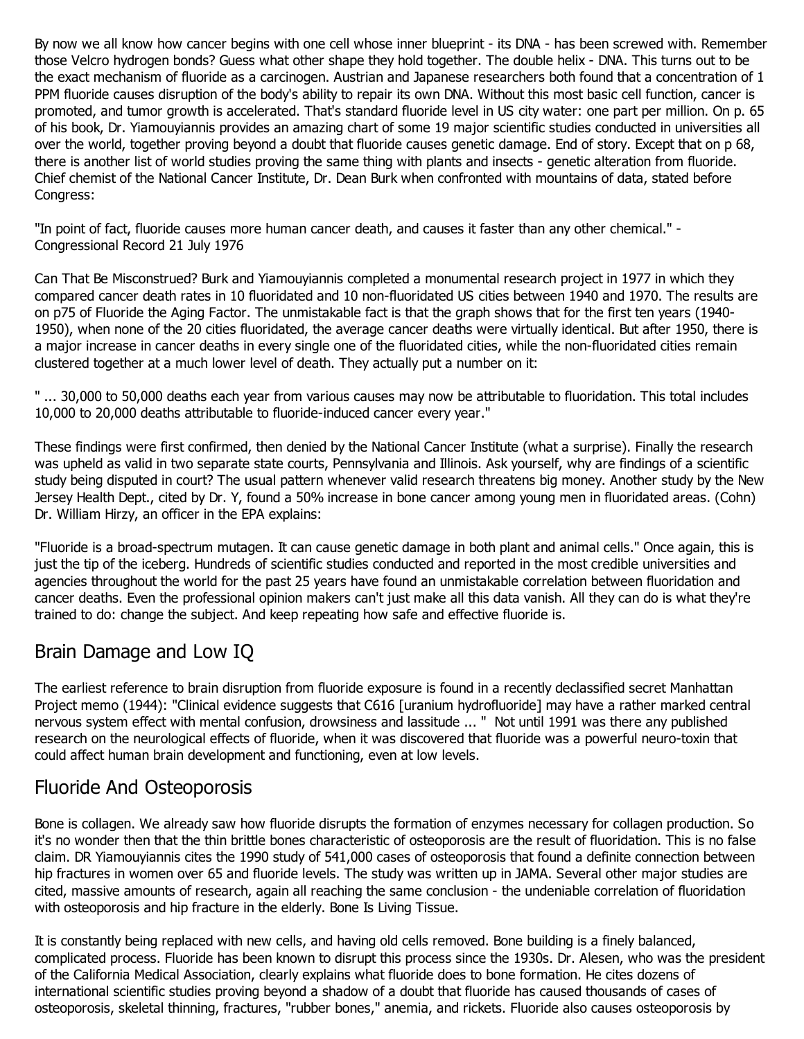By now we all know how cancer begins with one cell whose inner blueprint - its DNA - has been screwed with. Remember those Velcro hydrogen bonds? Guess what other shape they hold together. The double helix - DNA. This turns out to be the exact mechanism of fluoride as a carcinogen. Austrian and Japanese researchers both found that a concentration of 1 PPM fluoride causes disruption of the body's ability to repair its own DNA. Without this most basic cell function, cancer is promoted, and tumor growth is accelerated. That's standard fluoride level in US city water: one part per million. On p. 65 of his book, Dr. Yiamouyiannis provides an amazing chart of some 19 major scientific studies conducted in universities all over the world, together proving beyond a doubt that fluoride causes genetic damage. End of story. Except that on p 68, there is another list of world studies proving the same thing with plants and insects - genetic alteration from fluoride. Chief chemist of the National Cancer Institute, Dr. Dean Burk when confronted with mountains of data, stated before Congress:

"In point of fact, fluoride causes more human cancer death, and causes it faster than any other chemical." - Congressional Record 21 July 1976

Can That Be Misconstrued? Burk and Yiamouyiannis completed a monumental research project in 1977 in which they compared cancer death rates in 10 fluoridated and 10 non-fluoridated US cities between 1940 and 1970. The results are on p75 of Fluoride the Aging Factor. The unmistakable fact is that the graph shows that for the first ten years (1940- 1950), when none of the 20 cities fluoridated, the average cancer deaths were virtually identical. But after 1950, there is a major increase in cancer deaths in every single one of the fluoridated cities, while the non-fluoridated cities remain clustered together at a much lower level of death. They actually put a number on it:

" ... 30,000 to 50,000 deaths each year from various causes may now be attributable to fluoridation. This total includes 10,000 to 20,000 deaths attributable to fluoride-induced cancer every year."

These findings were first confirmed, then denied by the National Cancer Institute (what a surprise). Finally the research was upheld as valid in two separate state courts, Pennsylvania and Illinois. Ask yourself, why are findings of a scientific study being disputed in court? The usual pattern whenever valid research threatens big money. Another study by the New Jersey Health Dept., cited by Dr. Y, found a 50% increase in bone cancer among young men in fluoridated areas. (Cohn) Dr. William Hirzy, an officer in the EPA explains:

"Fluoride is a broad-spectrum mutagen. It can cause genetic damage in both plant and animal cells." Once again, this is just the tip of the iceberg. Hundreds of scientific studies conducted and reported in the most credible universities and agencies throughout the world for the past 25 years have found an unmistakable correlation between fluoridation and cancer deaths. Even the professional opinion makers can't just make all this data vanish. All they can do is what they're trained to do: change the subject. And keep repeating how safe and effective fluoride is.

#### Brain Damage and Low IQ

The earliest reference to brain disruption from fluoride exposure is found in a recently declassified secret Manhattan Project memo (1944): "Clinical evidence suggests that C616 [uranium hydrofluoride] may have a rather marked central nervous system effect with mental confusion, drowsiness and lassitude ... " Not until 1991 was there any published research on the neurological effects of fluoride, when it was discovered that fluoride was a powerful neuro-toxin that could affect human brain development and functioning, even at low levels.

#### Fluoride And Osteoporosis

Bone is collagen. We already saw how fluoride disrupts the formation of enzymes necessary for collagen production. So it's no wonder then that the thin brittle bones characteristic of osteoporosis are the result of fluoridation. This is no false claim. DR Yiamouyiannis cites the 1990 study of 541,000 cases of osteoporosis that found a definite connection between hip fractures in women over 65 and fluoride levels. The study was written up in JAMA. Several other major studies are cited, massive amounts of research, again all reaching the same conclusion - the undeniable correlation of fluoridation with osteoporosis and hip fracture in the elderly. Bone Is Living Tissue.

It is constantly being replaced with new cells, and having old cells removed. Bone building is a finely balanced, complicated process. Fluoride has been known to disrupt this process since the 1930s. Dr. Alesen, who was the president of the California Medical Association, clearly explains what fluoride does to bone formation. He cites dozens of international scientific studies proving beyond a shadow of a doubt that fluoride has caused thousands of cases of osteoporosis, skeletal thinning, fractures, "rubber bones," anemia, and rickets. Fluoride also causes osteoporosis by